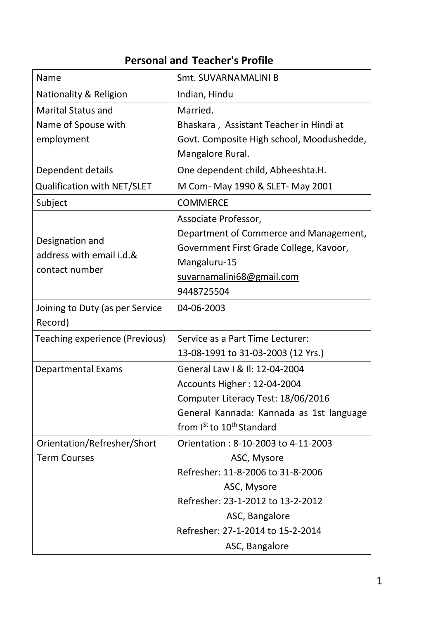## **Personal and Teacher's Profile**

| <b>Name</b>                           | Smt. SUVARNAMALINI B                              |
|---------------------------------------|---------------------------------------------------|
| <b>Nationality &amp; Religion</b>     | Indian, Hindu                                     |
| <b>Marital Status and</b>             | Married.                                          |
| Name of Spouse with                   | Bhaskara, Assistant Teacher in Hindi at           |
| employment                            | Govt. Composite High school, Moodushedde,         |
|                                       | Mangalore Rural.                                  |
| Dependent details                     | One dependent child, Abheeshta.H.                 |
| Qualification with NET/SLET           | M Com- May 1990 & SLET- May 2001                  |
| Subject                               | <b>COMMERCE</b>                                   |
|                                       | Associate Professor,                              |
| Designation and                       | Department of Commerce and Management,            |
| address with email i.d.&              | Government First Grade College, Kavoor,           |
| contact number                        | Mangaluru-15                                      |
|                                       | suvarnamalini68@gmail.com                         |
|                                       | 9448725504                                        |
| Joining to Duty (as per Service       | 04-06-2003                                        |
| Record)                               |                                                   |
| <b>Teaching experience (Previous)</b> | Service as a Part Time Lecturer:                  |
|                                       | 13-08-1991 to 31-03-2003 (12 Yrs.)                |
| <b>Departmental Exams</b>             | General Law I & II: 12-04-2004                    |
|                                       | Accounts Higher: 12-04-2004                       |
|                                       | Computer Literacy Test: 18/06/2016                |
|                                       | General Kannada: Kannada as 1st language          |
|                                       | from I <sup>St</sup> to 10 <sup>th</sup> Standard |
| Orientation/Refresher/Short           | Orientation: 8-10-2003 to 4-11-2003               |
| <b>Term Courses</b>                   | ASC, Mysore                                       |
|                                       | Refresher: 11-8-2006 to 31-8-2006                 |
|                                       | ASC, Mysore                                       |
|                                       | Refresher: 23-1-2012 to 13-2-2012                 |
|                                       | ASC, Bangalore                                    |
|                                       | Refresher: 27-1-2014 to 15-2-2014                 |
|                                       | ASC, Bangalore                                    |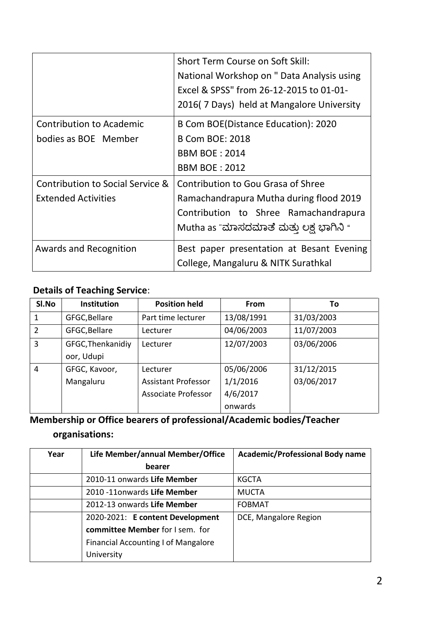|                                                                | <b>Short Term Course on Soft Skill:</b><br>National Workshop on " Data Analysis using<br>Excel & SPSS" from 26-12-2015 to 01-01-<br>2016(7 Days) held at Mangalore University |
|----------------------------------------------------------------|-------------------------------------------------------------------------------------------------------------------------------------------------------------------------------|
| <b>Contribution to Academic</b><br>bodies as BOE Member        | B Com BOE(Distance Education): 2020<br><b>B Com BOE: 2018</b><br><b>BBM BOE: 2014</b><br><b>BBM BOE: 2012</b>                                                                 |
| Contribution to Social Service &<br><b>Extended Activities</b> | Contribution to Gou Grasa of Shree<br>Ramachandrapura Mutha during flood 2019<br>Contribution to Shree Ramachandrapura<br>Mutha as "ಮಾಸದಮಾತೆ ಮತ್ತು ಲಕ್ಷ ಭಾಗಿನಿ "              |
| <b>Awards and Recognition</b>                                  | Best paper presentation at Besant Evening<br>College, Mangaluru & NITK Surathkal                                                                                              |

## **Details of Teaching Service**:

| SI.No          | <b>Institution</b> | <b>Position held</b>       | From       | To         |
|----------------|--------------------|----------------------------|------------|------------|
| 1              | GFGC, Bellare      | Part time lecturer         | 13/08/1991 | 31/03/2003 |
| $\overline{2}$ | GFGC, Bellare      | Lecturer                   | 04/06/2003 | 11/07/2003 |
| 3              | GFGC, Thenkanidiy  | Lecturer                   | 12/07/2003 | 03/06/2006 |
|                | oor, Udupi         |                            |            |            |
| 4              | GFGC, Kavoor,      | Lecturer                   | 05/06/2006 | 31/12/2015 |
|                | Mangaluru          | <b>Assistant Professor</b> | 1/1/2016   | 03/06/2017 |
|                |                    | <b>Associate Professor</b> | 4/6/2017   |            |
|                |                    |                            | onwards    |            |

# **Membership or Office bearers of professional/Academic bodies/Teacher**

## **organisations:**

| Year | Life Member/annual Member/Office           | <b>Academic/Professional Body name</b> |
|------|--------------------------------------------|----------------------------------------|
|      | bearer                                     |                                        |
|      | 2010-11 onwards Life Member                | <b>KGCTA</b>                           |
|      | 2010 -11 onwards Life Member               | <b>MUCTA</b>                           |
|      | 2012-13 onwards Life Member                | <b>FOBMAT</b>                          |
|      | 2020-2021: E content Development           | DCE, Mangalore Region                  |
|      | committee Member for I sem. for            |                                        |
|      | <b>Financial Accounting I of Mangalore</b> |                                        |
|      | University                                 |                                        |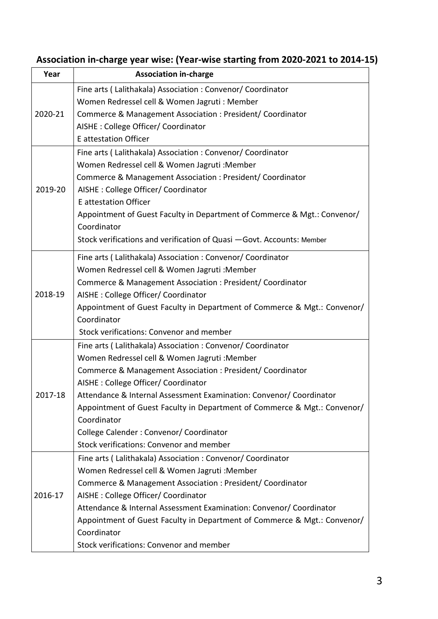| Year    | <b>Association in-charge</b>                                             |
|---------|--------------------------------------------------------------------------|
|         | Fine arts (Lalithakala) Association: Convenor/ Coordinator               |
|         | Women Redressel cell & Women Jagruti : Member                            |
| 2020-21 | Commerce & Management Association : President/ Coordinator               |
|         | AISHE : College Officer/ Coordinator                                     |
|         | <b>E</b> attestation Officer                                             |
|         | Fine arts ( Lalithakala) Association : Convenor/ Coordinator             |
|         | Women Redressel cell & Women Jagruti : Member                            |
|         | Commerce & Management Association : President/ Coordinator               |
| 2019-20 | AISHE : College Officer/ Coordinator                                     |
|         | <b>E</b> attestation Officer                                             |
|         | Appointment of Guest Faculty in Department of Commerce & Mgt.: Convenor/ |
|         | Coordinator                                                              |
|         | Stock verifications and verification of Quasi - Govt. Accounts: Member   |
|         | Fine arts (Lalithakala) Association: Convenor/ Coordinator               |
|         | Women Redressel cell & Women Jagruti : Member                            |
|         | Commerce & Management Association : President/ Coordinator               |
| 2018-19 | AISHE : College Officer/ Coordinator                                     |
|         | Appointment of Guest Faculty in Department of Commerce & Mgt.: Convenor/ |
|         | Coordinator                                                              |
|         | Stock verifications: Convenor and member                                 |
|         | Fine arts ( Lalithakala) Association : Convenor/ Coordinator             |
|         | Women Redressel cell & Women Jagruti : Member                            |
|         | Commerce & Management Association : President/ Coordinator               |
|         | AISHE : College Officer/ Coordinator                                     |
| 2017-18 | Attendance & Internal Assessment Examination: Convenor/ Coordinator      |
|         | Appointment of Guest Faculty in Department of Commerce & Mgt.: Convenor/ |
|         | Coordinator                                                              |
|         | College Calender: Convenor/ Coordinator                                  |
|         | Stock verifications: Convenor and member                                 |
|         | Fine arts (Lalithakala) Association: Convenor/ Coordinator               |
|         | Women Redressel cell & Women Jagruti : Member                            |
|         | Commerce & Management Association : President/ Coordinator               |
| 2016-17 | AISHE : College Officer/ Coordinator                                     |
|         | Attendance & Internal Assessment Examination: Convenor/ Coordinator      |
|         | Appointment of Guest Faculty in Department of Commerce & Mgt.: Convenor/ |
|         | Coordinator                                                              |
|         | Stock verifications: Convenor and member                                 |

## **Association in-charge year wise: (Year-wise starting from 2020-2021 to 2014-15)**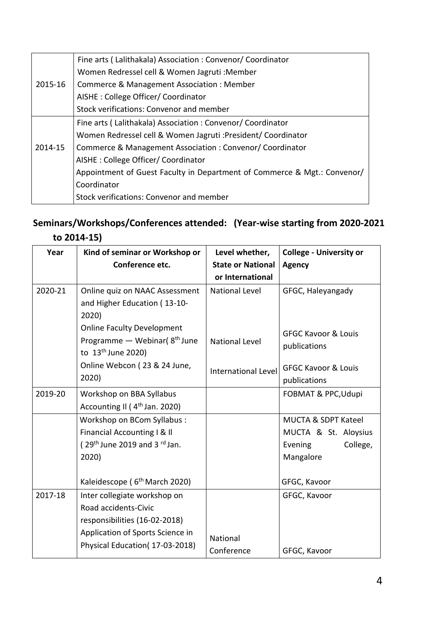|         | Fine arts (Lalithakala) Association: Convenor/ Coordinator               |
|---------|--------------------------------------------------------------------------|
|         | Women Redressel cell & Women Jagruti : Member                            |
| 2015-16 | Commerce & Management Association: Member                                |
|         | AISHE: College Officer/ Coordinator                                      |
|         | Stock verifications: Convenor and member                                 |
|         | Fine arts (Lalithakala) Association: Convenor/ Coordinator               |
|         | Women Redressel cell & Women Jagruti : President/ Coordinator            |
| 2014-15 | Commerce & Management Association: Convenor/Coordinator                  |
|         | AISHE : College Officer/ Coordinator                                     |
|         | Appointment of Guest Faculty in Department of Commerce & Mgt.: Convenor/ |
|         | Coordinator                                                              |
|         | Stock verifications: Convenor and member                                 |
|         |                                                                          |

### **Seminars/Workshops/Conferences attended: (Year-wise starting from 2020-2021 to 2014-15)**

| Year    | Kind of seminar or Workshop or<br>Conference etc.                                                                                                           | Level whether,<br><b>State or National</b><br>or International | <b>College - University or</b><br><b>Agency</b>                                            |
|---------|-------------------------------------------------------------------------------------------------------------------------------------------------------------|----------------------------------------------------------------|--------------------------------------------------------------------------------------------|
| 2020-21 | Online quiz on NAAC Assessment<br>and Higher Education (13-10-<br>2020)                                                                                     | <b>National Level</b>                                          | GFGC, Haleyangady                                                                          |
|         | <b>Online Faculty Development</b><br>Programme - Webinar (8 <sup>th</sup> June<br>to 13 <sup>th</sup> June 2020)                                            | <b>National Level</b>                                          | <b>GFGC Kavoor &amp; Louis</b><br>publications                                             |
|         | Online Webcon (23 & 24 June,<br>2020)                                                                                                                       | <b>International Level</b>                                     | <b>GFGC Kavoor &amp; Louis</b><br>publications                                             |
| 2019-20 | Workshop on BBA Syllabus<br>Accounting II (4 <sup>th</sup> Jan. 2020)                                                                                       |                                                                | FOBMAT & PPC, Udupi                                                                        |
|         | Workshop on BCom Syllabus:<br>Financial Accounting I & Il<br>( $29th$ June 2019 and 3 $rd$ Jan.<br>2020)                                                    |                                                                | <b>MUCTA &amp; SDPT Kateel</b><br>MUCTA & St. Aloysius<br>College,<br>Evening<br>Mangalore |
|         | Kaleidescope (6 <sup>th</sup> March 2020)                                                                                                                   |                                                                | GFGC, Kavoor                                                                               |
| 2017-18 | Inter collegiate workshop on<br>Road accidents-Civic<br>responsibilities (16-02-2018)<br>Application of Sports Science in<br>Physical Education(17-03-2018) | National<br>Conference                                         | GFGC, Kavoor<br>GFGC, Kavoor                                                               |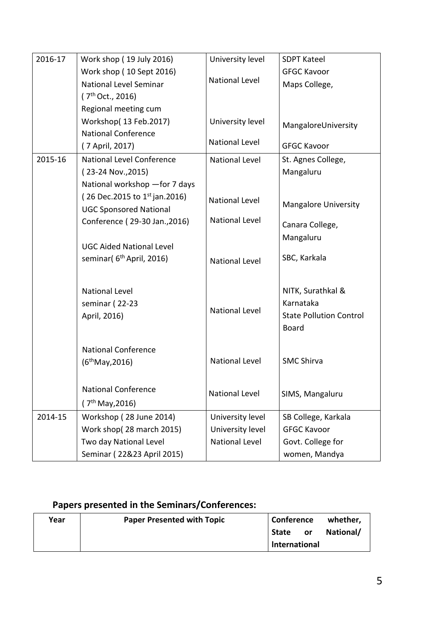| 2016-17 | Work shop (19 July 2016)             | University level      | <b>SDPT Kateel</b>             |
|---------|--------------------------------------|-----------------------|--------------------------------|
|         | Work shop (10 Sept 2016)             |                       | <b>GFGC Kavoor</b>             |
|         | National Level Seminar               | <b>National Level</b> | Maps College,                  |
|         | (7 <sup>th</sup> Oct., 2016)         |                       |                                |
|         | Regional meeting cum                 |                       |                                |
|         | Workshop(13 Feb.2017)                | University level      | MangaloreUniversity            |
|         | <b>National Conference</b>           | <b>National Level</b> |                                |
|         | (7 April, 2017)                      |                       | <b>GFGC Kavoor</b>             |
| 2015-16 | <b>National Level Conference</b>     | <b>National Level</b> | St. Agnes College,             |
|         | (23-24 Nov., 2015)                   |                       | Mangaluru                      |
|         | National workshop - for 7 days       |                       |                                |
|         | (26 Dec.2015 to $1^{st}$ jan.2016)   | <b>National Level</b> | <b>Mangalore University</b>    |
|         | <b>UGC Sponsored National</b>        | <b>National Level</b> |                                |
|         | Conference (29-30 Jan., 2016)        |                       | Canara College,                |
|         | <b>UGC Aided National Level</b>      |                       | Mangaluru                      |
|         | seminar(6 <sup>th</sup> April, 2016) |                       | SBC, Karkala                   |
|         |                                      | <b>National Level</b> |                                |
|         |                                      |                       |                                |
|         | <b>National Level</b>                |                       | NITK, Surathkal &              |
|         | seminar (22-23                       |                       | Karnataka                      |
|         | April, 2016)                         | <b>National Level</b> | <b>State Pollution Control</b> |
|         |                                      |                       | <b>Board</b>                   |
|         |                                      |                       |                                |
|         | <b>National Conference</b>           | <b>National Level</b> | <b>SMC Shirva</b>              |
|         | (6 <sup>th</sup> May, 2016)          |                       |                                |
|         |                                      |                       |                                |
|         | <b>National Conference</b>           | <b>National Level</b> | SIMS, Mangaluru                |
|         | (7 <sup>th</sup> May, 2016)          |                       |                                |
| 2014-15 | Workshop (28 June 2014)              | University level      | SB College, Karkala            |
|         | Work shop(28 march 2015)             | University level      | <b>GFGC Kavoor</b>             |
|         | Two day National Level               | National Level        | Govt. College for              |
|         | Seminar (22&23 April 2015)           |                       | women, Mandya                  |

## **Papers presented in the Seminars/Conferences:**

| Year | <b>Paper Presented with Topic</b> | <b>Conference</b> |           | whether,  |
|------|-----------------------------------|-------------------|-----------|-----------|
|      |                                   | <b>State</b>      | <b>or</b> | National/ |
|      |                                   | International     |           |           |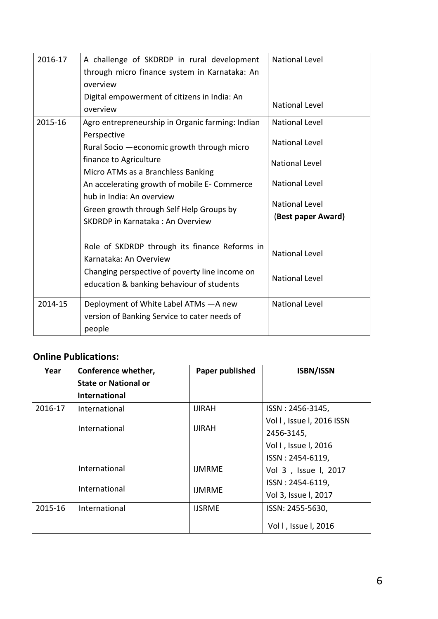| 2016-17 | A challenge of SKDRDP in rural development<br>through micro finance system in Karnataka: An<br>overview   | <b>National Level</b>                       |
|---------|-----------------------------------------------------------------------------------------------------------|---------------------------------------------|
|         | Digital empowerment of citizens in India: An<br>overview                                                  | <b>National Level</b>                       |
| 2015-16 | Agro entrepreneurship in Organic farming: Indian<br>Perspective                                           | <b>National Level</b>                       |
|         | Rural Socio - economic growth through micro                                                               | <b>National Level</b>                       |
|         | finance to Agriculture<br>Micro ATMs as a Branchless Banking                                              | <b>National Level</b>                       |
|         | An accelerating growth of mobile E- Commerce                                                              | <b>National Level</b>                       |
|         | hub in India: An overview<br>Green growth through Self Help Groups by<br>SKDRDP in Karnataka: An Overview | <b>National Level</b><br>(Best paper Award) |
|         |                                                                                                           |                                             |
|         | Role of SKDRDP through its finance Reforms in<br>Karnataka: An Overview                                   | <b>National Level</b>                       |
|         | Changing perspective of poverty line income on<br>education & banking behaviour of students               | <b>National Level</b>                       |
| 2014-15 | Deployment of White Label ATMs - A new<br>version of Banking Service to cater needs of<br>people          | <b>National Level</b>                       |

#### **Online Publications:**

| Year    | Conference whether,<br><b>State or National or</b><br><b>International</b> | Paper published  | <b>ISBN/ISSN</b>          |
|---------|----------------------------------------------------------------------------|------------------|---------------------------|
| 2016-17 | International                                                              | <b>IJIRAH</b>    | ISSN: 2456-3145,          |
|         |                                                                            |                  | Vol I, Issue I, 2016 ISSN |
|         | International                                                              | <b>IJIRAH</b>    | 2456-3145,                |
|         |                                                                            |                  | Vol I, Issue I, 2016      |
|         |                                                                            |                  | ISSN: 2454-6119,          |
|         | International                                                              | <b>IJMRME</b>    | Vol 3, Issue I, 2017      |
|         | International                                                              | ISSN: 2454-6119, |                           |
|         |                                                                            | <b>IJMRME</b>    | Vol 3, Issue I, 2017      |
| 2015-16 | International                                                              | <b>IJSRME</b>    | ISSN: 2455-5630,          |
|         |                                                                            |                  | Vol I, Issue I, 2016      |